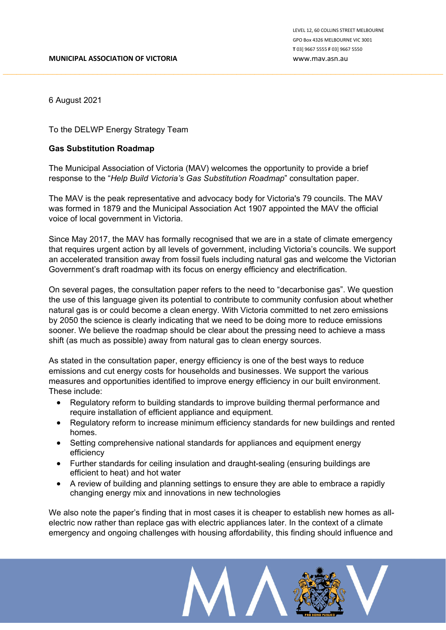6 August 2021

To the DELWP Energy Strategy Team

## **Gas Substitution Roadmap**

The Municipal Association of Victoria (MAV) welcomes the opportunity to provide a brief response to the "*Help Build Victoria's Gas Substitution Roadmap*" consultation paper.

The MAV is the peak representative and advocacy body for Victoria's 79 councils. The MAV was formed in 1879 and the Municipal Association Act 1907 appointed the MAV the official voice of local government in Victoria.

Since May 2017, the MAV has formally recognised that we are in a state of climate emergency that requires urgent action by all levels of government, including Victoria's councils. We support an accelerated transition away from fossil fuels including natural gas and welcome the Victorian Government's draft roadmap with its focus on energy efficiency and electrification.

On several pages, the consultation paper refers to the need to "decarbonise gas". We question the use of this language given its potential to contribute to community confusion about whether natural gas is or could become a clean energy. With Victoria committed to net zero emissions by 2050 the science is clearly indicating that we need to be doing more to reduce emissions sooner. We believe the roadmap should be clear about the pressing need to achieve a mass shift (as much as possible) away from natural gas to clean energy sources.

As stated in the consultation paper, energy efficiency is one of the best ways to reduce emissions and cut energy costs for households and businesses. We support the various measures and opportunities identified to improve energy efficiency in our built environment. These include:

- Regulatory reform to building standards to improve building thermal performance and require installation of efficient appliance and equipment.
- Regulatory reform to increase minimum efficiency standards for new buildings and rented homes.
- Setting comprehensive national standards for appliances and equipment energy efficiency
- Further standards for ceiling insulation and draught-sealing (ensuring buildings are efficient to heat) and hot water
- A review of building and planning settings to ensure they are able to embrace a rapidly changing energy mix and innovations in new technologies

We also note the paper's finding that in most cases it is cheaper to establish new homes as allelectric now rather than replace gas with electric appliances later. In the context of a climate emergency and ongoing challenges with housing affordability, this finding should influence and